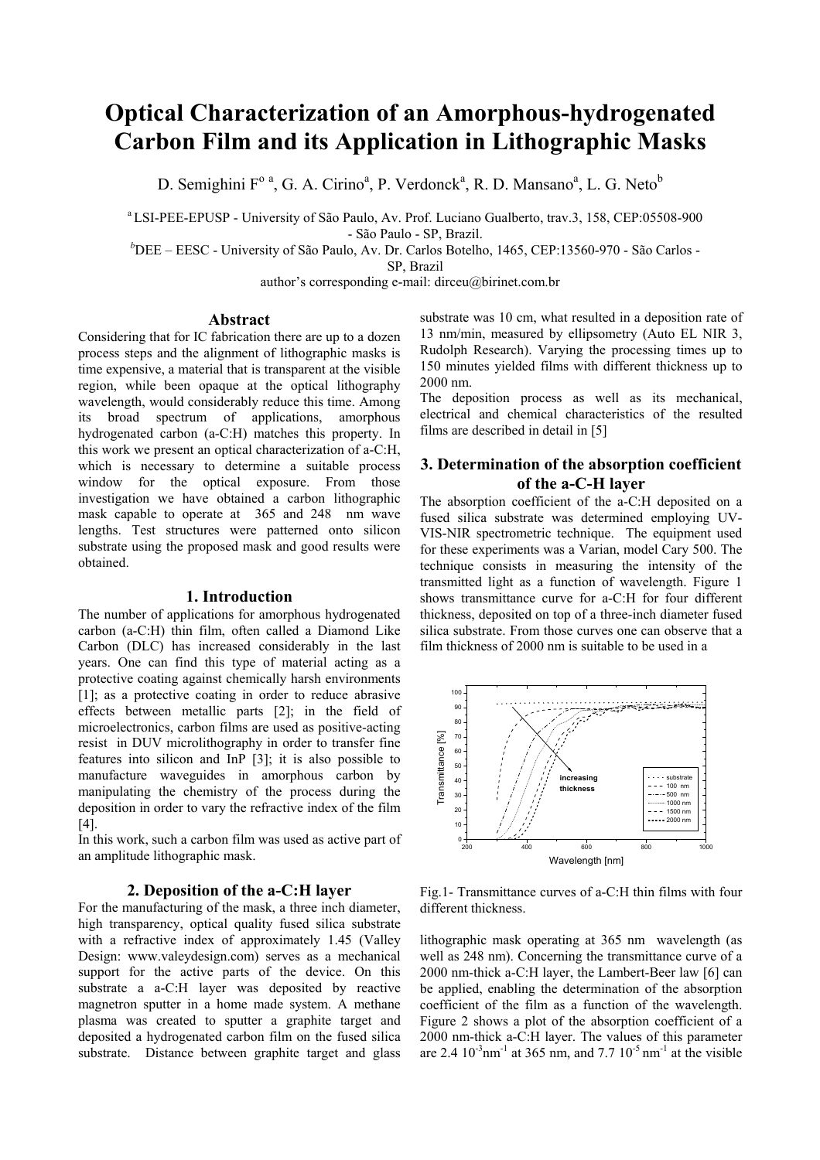# **Optical Characterization of an Amorphous-hydrogenated Carbon Film and its Application in Lithographic Masks**

D. Semighini F<sup>o a</sup>, G. A. Cirino<sup>a</sup>, P. Verdonck<sup>a</sup>, R. D. Mansano<sup>a</sup>, L. G. Neto<sup>b</sup>

a LSI-PEE-EPUSP - University of São Paulo, Av. Prof. Luciano Gualberto, trav.3, 158, CEP:05508-900

- São Paulo - SP, Brazil.

*b* DEE – EESC - University of São Paulo, Av. Dr. Carlos Botelho, 1465, CEP:13560-970 - São Carlos -

SP, Brazil

author's corresponding e-mail: dirceu@birinet.com.br

#### **Abstract**

Considering that for IC fabrication there are up to a dozen process steps and the alignment of lithographic masks is time expensive, a material that is transparent at the visible region, while been opaque at the optical lithography wavelength, would considerably reduce this time. Among its broad spectrum of applications, amorphous hydrogenated carbon (a-C:H) matches this property. In this work we present an optical characterization of a-C:H, which is necessary to determine a suitable process window for the optical exposure. From those investigation we have obtained a carbon lithographic mask capable to operate at 365 and 248 nm wave lengths. Test structures were patterned onto silicon substrate using the proposed mask and good results were obtained.

## **1. Introduction**

The number of applications for amorphous hydrogenated carbon (a-C:H) thin film, often called a Diamond Like Carbon (DLC) has increased considerably in the last years. One can find this type of material acting as a protective coating against chemically harsh environments [1]; as a protective coating in order to reduce abrasive effects between metallic parts [2]; in the field of microelectronics, carbon films are used as positive-acting resist in DUV microlithography in order to transfer fine features into silicon and InP [3]; it is also possible to manufacture waveguides in amorphous carbon by manipulating the chemistry of the process during the deposition in order to vary the refractive index of the film [4].

In this work, such a carbon film was used as active part of an amplitude lithographic mask.

## **2. Deposition of the a-C:H layer**

For the manufacturing of the mask, a three inch diameter, high transparency, optical quality fused silica substrate with a refractive index of approximately 1.45 (Valley Design: www.valeydesign.com) serves as a mechanical support for the active parts of the device. On this substrate a a-C:H layer was deposited by reactive magnetron sputter in a home made system. A methane plasma was created to sputter a graphite target and deposited a hydrogenated carbon film on the fused silica substrate. Distance between graphite target and glass

substrate was 10 cm, what resulted in a deposition rate of 13 nm/min, measured by ellipsometry (Auto EL NIR 3, Rudolph Research). Varying the processing times up to 150 minutes yielded films with different thickness up to 2000 nm.

The deposition process as well as its mechanical, electrical and chemical characteristics of the resulted films are described in detail in [5]

## **3. Determination of the absorption coefficient of the a-C-H layer**

The absorption coefficient of the a-C:H deposited on a fused silica substrate was determined employing UV-VIS-NIR spectrometric technique. The equipment used for these experiments was a Varian, model Cary 500. The technique consists in measuring the intensity of the transmitted light as a function of wavelength. Figure 1 shows transmittance curve for a-C:H for four different thickness, deposited on top of a three-inch diameter fused silica substrate. From those curves one can observe that a film thickness of 2000 nm is suitable to be used in a



Fig.1- Transmittance curves of a-C:H thin films with four different thickness.

lithographic mask operating at 365 nm wavelength (as well as 248 nm). Concerning the transmittance curve of a 2000 nm-thick a-C:H layer, the Lambert-Beer law [6] can be applied, enabling the determination of the absorption coefficient of the film as a function of the wavelength. Figure 2 shows a plot of the absorption coefficient of a 2000 nm-thick a-C:H layer. The values of this parameter are 2.4  $10^{-3}$ nm<sup>-1</sup> at 365 nm, and 7.7  $10^{-5}$ nm<sup>-1</sup> at the visible